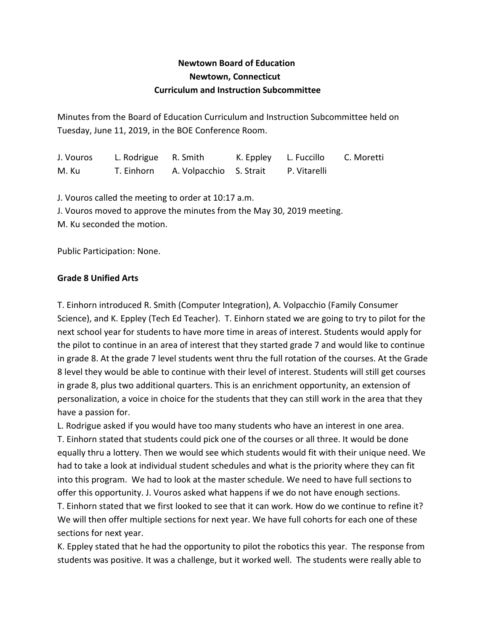# **Newtown Board of Education Newtown, Connecticut Curriculum and Instruction Subcommittee**

Minutes from the Board of Education Curriculum and Instruction Subcommittee held on Tuesday, June 11, 2019, in the BOE Conference Room.

J. Vouros L. Rodrigue R. Smith K. Eppley L. Fuccillo C. Moretti M. Ku T. Einhorn A. Volpacchio S. Strait P. Vitarelli

J. Vouros called the meeting to order at 10:17 a.m.

J. Vouros moved to approve the minutes from the May 30, 2019 meeting.

M. Ku seconded the motion.

Public Participation: None.

## **Grade 8 Unified Arts**

T. Einhorn introduced R. Smith (Computer Integration), A. Volpacchio (Family Consumer Science), and K. Eppley (Tech Ed Teacher). T. Einhorn stated we are going to try to pilot for the next school year for students to have more time in areas of interest. Students would apply for the pilot to continue in an area of interest that they started grade 7 and would like to continue in grade 8. At the grade 7 level students went thru the full rotation of the courses. At the Grade 8 level they would be able to continue with their level of interest. Students will still get courses in grade 8, plus two additional quarters. This is an enrichment opportunity, an extension of personalization, a voice in choice for the students that they can still work in the area that they have a passion for.

L. Rodrigue asked if you would have too many students who have an interest in one area.

T. Einhorn stated that students could pick one of the courses or all three. It would be done equally thru a lottery. Then we would see which students would fit with their unique need. We had to take a look at individual student schedules and what is the priority where they can fit into this program. We had to look at the master schedule. We need to have full sections to offer this opportunity. J. Vouros asked what happens if we do not have enough sections.

T. Einhorn stated that we first looked to see that it can work. How do we continue to refine it? We will then offer multiple sections for next year. We have full cohorts for each one of these sections for next year.

K. Eppley stated that he had the opportunity to pilot the robotics this year. The response from students was positive. It was a challenge, but it worked well. The students were really able to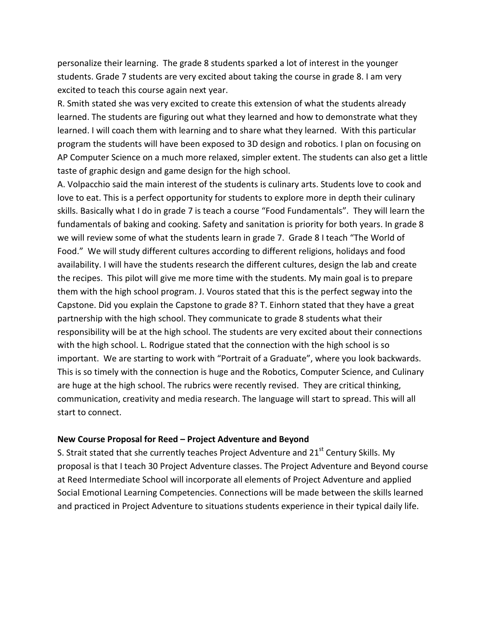personalize their learning. The grade 8 students sparked a lot of interest in the younger students. Grade 7 students are very excited about taking the course in grade 8. I am very excited to teach this course again next year.

R. Smith stated she was very excited to create this extension of what the students already learned. The students are figuring out what they learned and how to demonstrate what they learned. I will coach them with learning and to share what they learned. With this particular program the students will have been exposed to 3D design and robotics. I plan on focusing on AP Computer Science on a much more relaxed, simpler extent. The students can also get a little taste of graphic design and game design for the high school.

A. Volpacchio said the main interest of the students is culinary arts. Students love to cook and love to eat. This is a perfect opportunity for students to explore more in depth their culinary skills. Basically what I do in grade 7 is teach a course "Food Fundamentals". They will learn the fundamentals of baking and cooking. Safety and sanitation is priority for both years. In grade 8 we will review some of what the students learn in grade 7. Grade 8 I teach "The World of Food." We will study different cultures according to different religions, holidays and food availability. I will have the students research the different cultures, design the lab and create the recipes. This pilot will give me more time with the students. My main goal is to prepare them with the high school program. J. Vouros stated that this is the perfect segway into the Capstone. Did you explain the Capstone to grade 8? T. Einhorn stated that they have a great partnership with the high school. They communicate to grade 8 students what their responsibility will be at the high school. The students are very excited about their connections with the high school. L. Rodrigue stated that the connection with the high school is so important. We are starting to work with "Portrait of a Graduate", where you look backwards. This is so timely with the connection is huge and the Robotics, Computer Science, and Culinary are huge at the high school. The rubrics were recently revised. They are critical thinking, communication, creativity and media research. The language will start to spread. This will all start to connect.

#### **New Course Proposal for Reed – Project Adventure and Beyond**

S. Strait stated that she currently teaches Project Adventure and  $21<sup>st</sup>$  Century Skills. My proposal is that I teach 30 Project Adventure classes. The Project Adventure and Beyond course at Reed Intermediate School will incorporate all elements of Project Adventure and applied Social Emotional Learning Competencies. Connections will be made between the skills learned and practiced in Project Adventure to situations students experience in their typical daily life.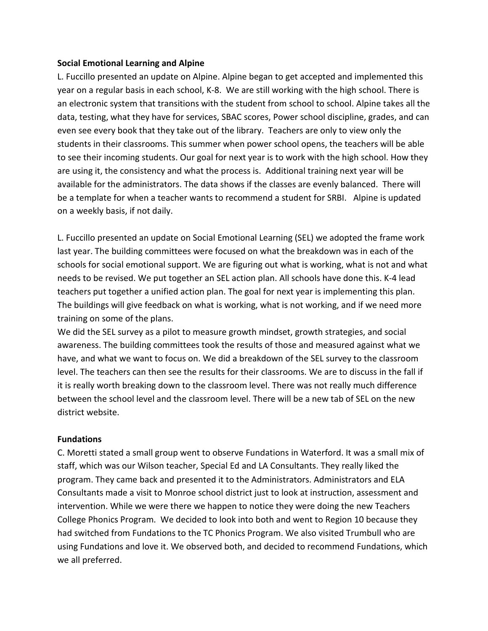#### **Social Emotional Learning and Alpine**

L. Fuccillo presented an update on Alpine. Alpine began to get accepted and implemented this year on a regular basis in each school, K-8. We are still working with the high school. There is an electronic system that transitions with the student from school to school. Alpine takes all the data, testing, what they have for services, SBAC scores, Power school discipline, grades, and can even see every book that they take out of the library. Teachers are only to view only the students in their classrooms. This summer when power school opens, the teachers will be able to see their incoming students. Our goal for next year is to work with the high school. How they are using it, the consistency and what the process is. Additional training next year will be available for the administrators. The data shows if the classes are evenly balanced. There will be a template for when a teacher wants to recommend a student for SRBI. Alpine is updated on a weekly basis, if not daily.

L. Fuccillo presented an update on Social Emotional Learning (SEL) we adopted the frame work last year. The building committees were focused on what the breakdown was in each of the schools for social emotional support. We are figuring out what is working, what is not and what needs to be revised. We put together an SEL action plan. All schools have done this. K-4 lead teachers put together a unified action plan. The goal for next year is implementing this plan. The buildings will give feedback on what is working, what is not working, and if we need more training on some of the plans.

We did the SEL survey as a pilot to measure growth mindset, growth strategies, and social awareness. The building committees took the results of those and measured against what we have, and what we want to focus on. We did a breakdown of the SEL survey to the classroom level. The teachers can then see the results for their classrooms. We are to discuss in the fall if it is really worth breaking down to the classroom level. There was not really much difference between the school level and the classroom level. There will be a new tab of SEL on the new district website.

### **Fundations**

C. Moretti stated a small group went to observe Fundations in Waterford. It was a small mix of staff, which was our Wilson teacher, Special Ed and LA Consultants. They really liked the program. They came back and presented it to the Administrators. Administrators and ELA Consultants made a visit to Monroe school district just to look at instruction, assessment and intervention. While we were there we happen to notice they were doing the new Teachers College Phonics Program. We decided to look into both and went to Region 10 because they had switched from Fundations to the TC Phonics Program. We also visited Trumbull who are using Fundations and love it. We observed both, and decided to recommend Fundations, which we all preferred.